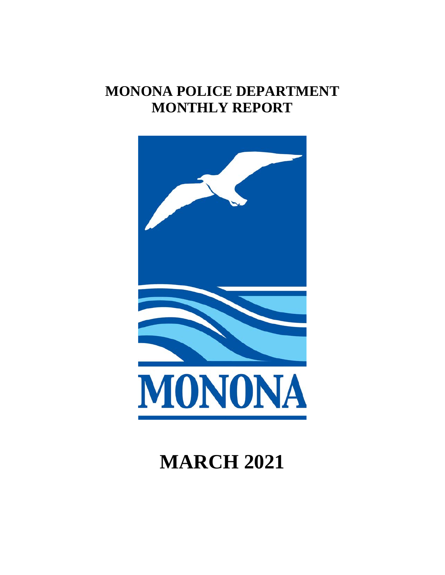# **MONONA POLICE DEPARTMENT MONTHLY REPORT**



# **MARCH 2021**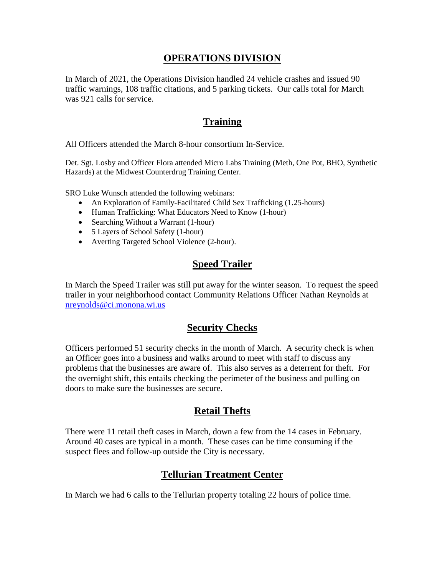#### **OPERATIONS DIVISION**

In March of 2021, the Operations Division handled 24 vehicle crashes and issued 90 traffic warnings, 108 traffic citations, and 5 parking tickets. Our calls total for March was 921 calls for service.

#### **Training**

All Officers attended the March 8-hour consortium In-Service.

Det. Sgt. Losby and Officer Flora attended Micro Labs Training (Meth, One Pot, BHO, Synthetic Hazards) at the Midwest Counterdrug Training Center.

SRO Luke Wunsch attended the following webinars:

- An Exploration of Family-Facilitated Child Sex Trafficking (1.25-hours)
- Human Trafficking: What Educators Need to Know (1-hour)
- Searching Without a Warrant (1-hour)
- 5 Layers of School Safety (1-hour)
- Averting Targeted School Violence (2-hour).

#### **Speed Trailer**

In March the Speed Trailer was still put away for the winter season. To request the speed trailer in your neighborhood contact Community Relations Officer Nathan Reynolds at [nreynolds@ci.monona.wi.us](mailto:nreynolds@ci.monona.wi.us)

#### **Security Checks**

Officers performed 51 security checks in the month of March. A security check is when an Officer goes into a business and walks around to meet with staff to discuss any problems that the businesses are aware of. This also serves as a deterrent for theft. For the overnight shift, this entails checking the perimeter of the business and pulling on doors to make sure the businesses are secure.

# **Retail Thefts**

There were 11 retail theft cases in March, down a few from the 14 cases in February. Around 40 cases are typical in a month. These cases can be time consuming if the suspect flees and follow-up outside the City is necessary.

# **Tellurian Treatment Center**

In March we had 6 calls to the Tellurian property totaling 22 hours of police time.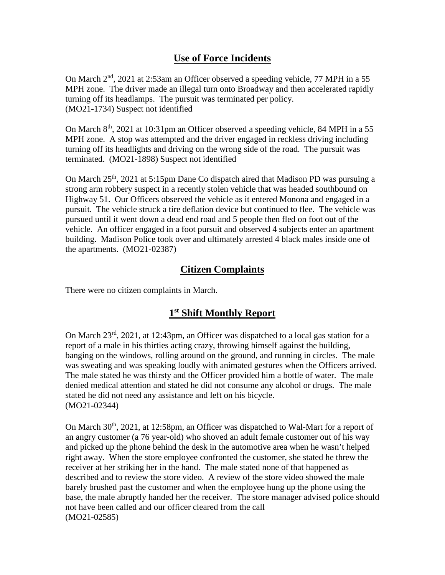# **Use of Force Incidents**

On March 2nd, 2021 at 2:53am an Officer observed a speeding vehicle, 77 MPH in a 55 MPH zone. The driver made an illegal turn onto Broadway and then accelerated rapidly turning off its headlamps. The pursuit was terminated per policy. (MO21-1734) Suspect not identified

On March 8th, 2021 at 10:31pm an Officer observed a speeding vehicle, 84 MPH in a 55 MPH zone. A stop was attempted and the driver engaged in reckless driving including turning off its headlights and driving on the wrong side of the road. The pursuit was terminated. (MO21-1898) Suspect not identified

On March 25<sup>th</sup>, 2021 at 5:15pm Dane Co dispatch aired that Madison PD was pursuing a strong arm robbery suspect in a recently stolen vehicle that was headed southbound on Highway 51. Our Officers observed the vehicle as it entered Monona and engaged in a pursuit. The vehicle struck a tire deflation device but continued to flee. The vehicle was pursued until it went down a dead end road and 5 people then fled on foot out of the vehicle. An officer engaged in a foot pursuit and observed 4 subjects enter an apartment building. Madison Police took over and ultimately arrested 4 black males inside one of the apartments. (MO21-02387)

# **Citizen Complaints**

There were no citizen complaints in March.

# **1st Shift Monthly Report**

On March 23rd, 2021, at 12:43pm, an Officer was dispatched to a local gas station for a report of a male in his thirties acting crazy, throwing himself against the building, banging on the windows, rolling around on the ground, and running in circles. The male was sweating and was speaking loudly with animated gestures when the Officers arrived. The male stated he was thirsty and the Officer provided him a bottle of water. The male denied medical attention and stated he did not consume any alcohol or drugs. The male stated he did not need any assistance and left on his bicycle. (MO21-02344)

On March 30<sup>th</sup>, 2021, at 12:58pm, an Officer was dispatched to Wal-Mart for a report of an angry customer (a 76 year-old) who shoved an adult female customer out of his way and picked up the phone behind the desk in the automotive area when he wasn't helped right away. When the store employee confronted the customer, she stated he threw the receiver at her striking her in the hand. The male stated none of that happened as described and to review the store video. A review of the store video showed the male barely brushed past the customer and when the employee hung up the phone using the base, the male abruptly handed her the receiver. The store manager advised police should not have been called and our officer cleared from the call (MO21-02585)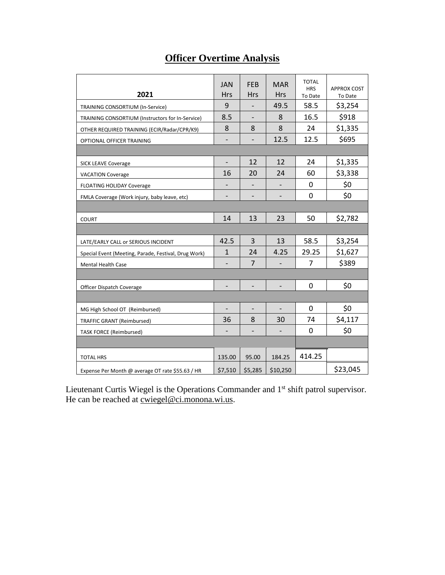# **Officer Overtime Analysis**

| 2021                                                 | <b>JAN</b><br><b>Hrs</b>     | <b>FEB</b><br><b>Hrs</b> | <b>MAR</b><br><b>Hrs</b>     | <b>TOTAL</b><br><b>HRS</b><br>To Date | <b>APPROX COST</b><br>To Date |
|------------------------------------------------------|------------------------------|--------------------------|------------------------------|---------------------------------------|-------------------------------|
| TRAINING CONSORTIUM (In-Service)                     | 9                            |                          | 49.5                         | 58.5                                  | \$3,254                       |
| TRAINING CONSORTIUM (Instructors for In-Service)     | 8.5                          | $\overline{\phantom{0}}$ | 8                            | 16.5                                  | \$918                         |
| OTHER REQUIRED TRAINING (ECIR/Radar/CPR/K9)          | 8                            | 8                        | 8                            | 24                                    | \$1,335                       |
| OPTIONAL OFFICER TRAINING                            | $\overline{\phantom{0}}$     |                          | 12.5                         | 12.5                                  | \$695                         |
|                                                      |                              |                          |                              |                                       |                               |
| <b>SICK LEAVE Coverage</b>                           |                              | 12                       | 12                           | 24                                    | \$1,335                       |
| <b>VACATION Coverage</b>                             | 16                           | 20                       | 24                           | 60                                    | \$3,338                       |
| FLOATING HOLIDAY Coverage                            |                              |                          |                              | 0                                     | \$0                           |
| FMLA Coverage (Work injury, baby leave, etc)         | $\qquad \qquad \blacksquare$ | $\overline{\phantom{a}}$ | $\qquad \qquad \blacksquare$ | 0                                     | \$0                           |
|                                                      |                              |                          |                              |                                       |                               |
| <b>COURT</b>                                         | 14                           | 13                       | 23                           | 50                                    | \$2,782                       |
|                                                      |                              |                          |                              |                                       |                               |
| LATE/EARLY CALL or SERIOUS INCIDENT                  | 42.5                         | 3                        | 13                           | 58.5                                  | \$3,254                       |
| Special Event (Meeting, Parade, Festival, Drug Work) | $\mathbf{1}$                 | 24                       | 4.25                         | 29.25                                 | \$1,627                       |
| <b>Mental Health Case</b>                            |                              | $\overline{7}$           |                              | 7                                     | \$389                         |
|                                                      |                              |                          |                              |                                       |                               |
| Officer Dispatch Coverage                            | $\overline{\phantom{a}}$     | $\overline{\phantom{a}}$ | $\overline{\phantom{0}}$     | 0                                     | \$0                           |
|                                                      |                              |                          |                              |                                       |                               |
| MG High School OT (Reimbursed)                       |                              |                          |                              | 0                                     | \$0                           |
| <b>TRAFFIC GRANT (Reimbursed)</b>                    | 36                           | 8                        | 30                           | 74                                    | \$4,117                       |
| <b>TASK FORCE (Reimbursed)</b>                       |                              | $\overline{\phantom{0}}$ |                              | 0                                     | \$0                           |
|                                                      |                              |                          |                              |                                       |                               |
| <b>TOTAL HRS</b>                                     | 135.00                       | 95.00                    | 184.25                       | 414.25                                |                               |
| Expense Per Month @ average OT rate \$55.63 / HR     | \$7,510                      | \$5,285                  | \$10,250                     |                                       | \$23,045                      |

Lieutenant Curtis Wiegel is the Operations Commander and 1<sup>st</sup> shift patrol supervisor. He can be reached at <u>cwiegel@ci.monona.wi.us</u>.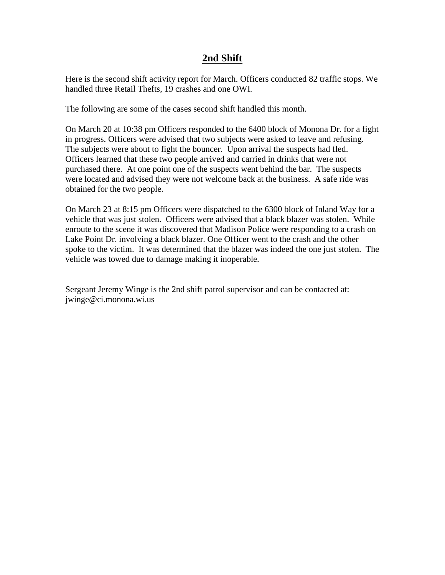#### **2nd Shift**

Here is the second shift activity report for March. Officers conducted 82 traffic stops. We handled three Retail Thefts, 19 crashes and one OWI.

The following are some of the cases second shift handled this month.

On March 20 at 10:38 pm Officers responded to the 6400 block of Monona Dr. for a fight in progress. Officers were advised that two subjects were asked to leave and refusing. The subjects were about to fight the bouncer. Upon arrival the suspects had fled. Officers learned that these two people arrived and carried in drinks that were not purchased there. At one point one of the suspects went behind the bar. The suspects were located and advised they were not welcome back at the business. A safe ride was obtained for the two people.

On March 23 at 8:15 pm Officers were dispatched to the 6300 block of Inland Way for a vehicle that was just stolen. Officers were advised that a black blazer was stolen. While enroute to the scene it was discovered that Madison Police were responding to a crash on Lake Point Dr. involving a black blazer. One Officer went to the crash and the other spoke to the victim. It was determined that the blazer was indeed the one just stolen. The vehicle was towed due to damage making it inoperable.

Sergeant Jeremy Winge is the 2nd shift patrol supervisor and can be contacted at: jwinge@ci.monona.wi.us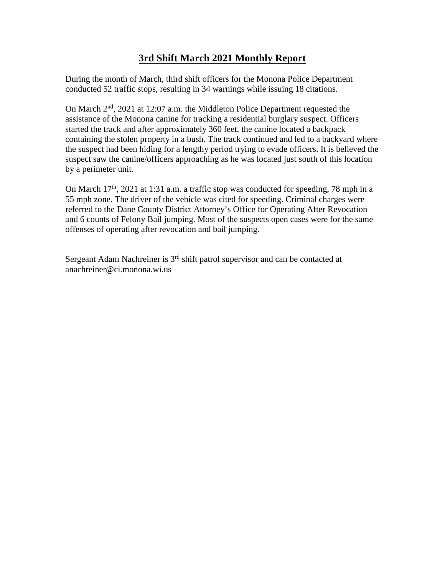# **3rd Shift March 2021 Monthly Report**

During the month of March, third shift officers for the Monona Police Department conducted 52 traffic stops, resulting in 34 warnings while issuing 18 citations.

On March 2nd, 2021 at 12:07 a.m. the Middleton Police Department requested the assistance of the Monona canine for tracking a residential burglary suspect. Officers started the track and after approximately 360 feet, the canine located a backpack containing the stolen property in a bush. The track continued and led to a backyard where the suspect had been hiding for a lengthy period trying to evade officers. It is believed the suspect saw the canine/officers approaching as he was located just south of this location by a perimeter unit.

On March  $17<sup>th</sup>$ , 2021 at 1:31 a.m. a traffic stop was conducted for speeding, 78 mph in a 55 mph zone. The driver of the vehicle was cited for speeding. Criminal charges were referred to the Dane County District Attorney's Office for Operating After Revocation and 6 counts of Felony Bail jumping. Most of the suspects open cases were for the same offenses of operating after revocation and bail jumping.

Sergeant Adam Nachreiner is 3<sup>rd</sup> shift patrol supervisor and can be contacted at anachreiner@ci.monona.wi.us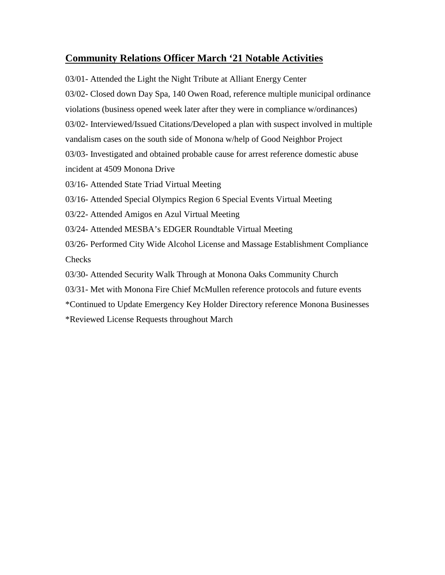#### **Community Relations Officer March '21 Notable Activities**

03/01- Attended the Light the Night Tribute at Alliant Energy Center 03/02- Closed down Day Spa, 140 Owen Road, reference multiple municipal ordinance violations (business opened week later after they were in compliance w/ordinances) 03/02- Interviewed/Issued Citations/Developed a plan with suspect involved in multiple vandalism cases on the south side of Monona w/help of Good Neighbor Project 03/03- Investigated and obtained probable cause for arrest reference domestic abuse incident at 4509 Monona Drive 03/16- Attended State Triad Virtual Meeting 03/16- Attended Special Olympics Region 6 Special Events Virtual Meeting 03/22- Attended Amigos en Azul Virtual Meeting 03/24- Attended MESBA's EDGER Roundtable Virtual Meeting

03/26- Performed City Wide Alcohol License and Massage Establishment Compliance **Checks** 

03/30- Attended Security Walk Through at Monona Oaks Community Church

03/31- Met with Monona Fire Chief McMullen reference protocols and future events

\*Continued to Update Emergency Key Holder Directory reference Monona Businesses

\*Reviewed License Requests throughout March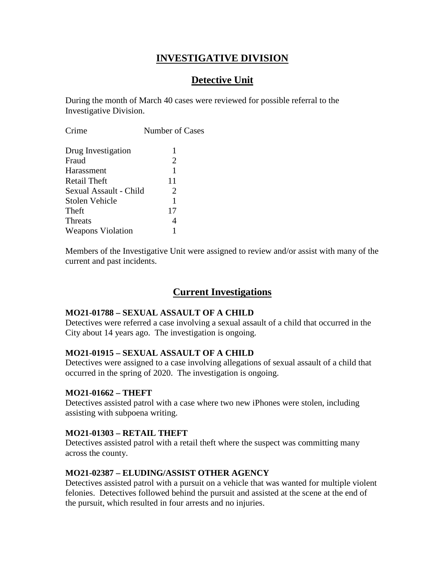# **INVESTIGATIVE DIVISION**

# **Detective Unit**

During the month of March 40 cases were reviewed for possible referral to the Investigative Division.

| Crime                    | <b>Number of Cases</b> |
|--------------------------|------------------------|
| Drug Investigation       | 1                      |
| Fraud                    | $\overline{2}$         |
| Harassment               | 1                      |
| Retail Theft             | 11                     |
| Sexual Assault - Child   | 2                      |
| Stolen Vehicle           | 1                      |
| Theft                    | 17                     |
| <b>Threats</b>           |                        |
| <b>Weapons Violation</b> |                        |
|                          |                        |

Members of the Investigative Unit were assigned to review and/or assist with many of the current and past incidents.

# **Current Investigations**

#### **MO21-01788 – SEXUAL ASSAULT OF A CHILD**

Detectives were referred a case involving a sexual assault of a child that occurred in the City about 14 years ago. The investigation is ongoing.

#### **MO21-01915 – SEXUAL ASSAULT OF A CHILD**

Detectives were assigned to a case involving allegations of sexual assault of a child that occurred in the spring of 2020. The investigation is ongoing.

#### **MO21-01662 – THEFT**

Detectives assisted patrol with a case where two new iPhones were stolen, including assisting with subpoena writing.

#### **MO21-01303 – RETAIL THEFT**

Detectives assisted patrol with a retail theft where the suspect was committing many across the county.

#### **MO21-02387 – ELUDING/ASSIST OTHER AGENCY**

Detectives assisted patrol with a pursuit on a vehicle that was wanted for multiple violent felonies. Detectives followed behind the pursuit and assisted at the scene at the end of the pursuit, which resulted in four arrests and no injuries.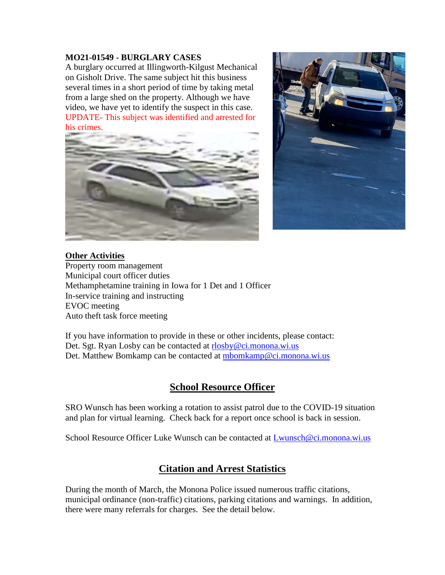#### **MO21-01549 - BURGLARY CASES**

A burglary occurred at Illingworth-Kilgust Mechanical on Gisholt Drive. The same subject hit this business several times in a short period of time by taking metal from a large shed on the property. Although we have video, we have yet to identify the suspect in this case. UPDATE- This subject was identified and arrested for his crimes.





#### **Other Activities** Property room management Municipal court officer duties Methamphetamine training in Iowa for 1 Det and 1 Officer In-service training and instructing

EVOC meeting Auto theft task force meeting

If you have information to provide in these or other incidents, please contact: Det. Sgt. Ryan Losby can be contacted at [rlosby@ci.monona.wi.us](mailto:rlosby@ci.monona.wi.us) Det. Matthew Bomkamp can be contacted at [mbomkamp@ci.monona.wi.us](mailto:mbomkamp@ci.monona.wi.us)

# **School Resource Officer**

SRO Wunsch has been working a rotation to assist patrol due to the COVID-19 situation and plan for virtual learning. Check back for a report once school is back in session.

School Resource Officer Luke Wunsch can be contacted at [Lwunsch@ci.monona.wi.us](mailto:Lwunsch@ci.monona.wi.us)

# **Citation and Arrest Statistics**

During the month of March, the Monona Police issued numerous traffic citations, municipal ordinance (non-traffic) citations, parking citations and warnings. In addition, there were many referrals for charges. See the detail below.